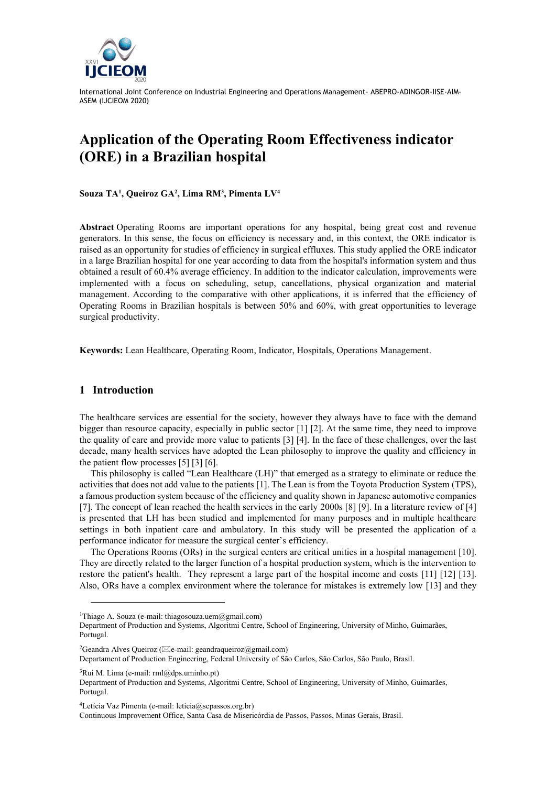

# **Application of the Operating Room Effectiveness indicator (ORE) in a Brazilian hospital**

**Souza TA<sup>1</sup> , Queiroz GA<sup>2</sup> , Lima RM<sup>3</sup> , Pimenta LV<sup>4</sup>**

**Abstract** Operating Rooms are important operations for any hospital, being great cost and revenue generators. In this sense, the focus on efficiency is necessary and, in this context, the ORE indicator is raised as an opportunity for studies of efficiency in surgical effluxes. This study applied the ORE indicator in a large Brazilian hospital for one year according to data from the hospital's information system and thus obtained a result of 60.4% average efficiency. In addition to the indicator calculation, improvements were implemented with a focus on scheduling, setup, cancellations, physical organization and material management. According to the comparative with other applications, it is inferred that the efficiency of Operating Rooms in Brazilian hospitals is between 50% and 60%, with great opportunities to leverage surgical productivity.

**Keywords:** Lean Healthcare, Operating Room, Indicator, Hospitals, Operations Management.

## **1 Introduction**

The healthcare services are essential for the society, however they always have to face with the demand bigger than resource capacity, especially in public sector [1] [2]. At the same time, they need to improve the quality of care and provide more value to patients [3] [4]. In the face of these challenges, over the last decade, many health services have adopted the Lean philosophy to improve the quality and efficiency in the patient flow processes [5] [3] [6].

This philosophy is called "Lean Healthcare (LH)" that emerged as a strategy to eliminate or reduce the activities that does not add value to the patients [1]. The Lean is from the Toyota Production System (TPS), a famous production system because of the efficiency and quality shown in Japanese automotive companies [7]. The concept of lean reached the health services in the early 2000s [8] [9]. In a literature review of [4] is presented that LH has been studied and implemented for many purposes and in multiple healthcare settings in both inpatient care and ambulatory. In this study will be presented the application of a performance indicator for measure the surgical center's efficiency.

The Operations Rooms (ORs) in the surgical centers are critical unities in a hospital management [10]. They are directly related to the larger function of a hospital production system, which is the intervention to restore the patient's health. They represent a large part of the hospital income and costs [11] [12] [13]. Also, ORs have a complex environment where the tolerance for mistakes is extremely low [13] and they

<sup>2</sup>Geandra Alves Queiroz ( $\boxtimes$ e-mail: geandraqueiroz $(\alpha)$ gmail.com)

Departament of Production Engineering, Federal University of São Carlos, São Carlos, São Paulo, Brasil.

 ${}^{3}$ Rui M. Lima (e-mail: rml@dps.uminho.pt)

<sup>4</sup>Letícia Vaz Pimenta (e-mail: leticia@scpassos.org.br)

Continuous Improvement Office, Santa Casa de Misericórdia de Passos, Passos, Minas Gerais, Brasil.

<sup>&</sup>lt;sup>1</sup>Thiago A. Souza (e-mail: thiagosouza.uem@gmail.com)

Department of Production and Systems, Algoritmi Centre, School of Engineering, University of Minho, Guimarães, Portugal.

Department of Production and Systems, Algoritmi Centre, School of Engineering, University of Minho, Guimarães, Portugal.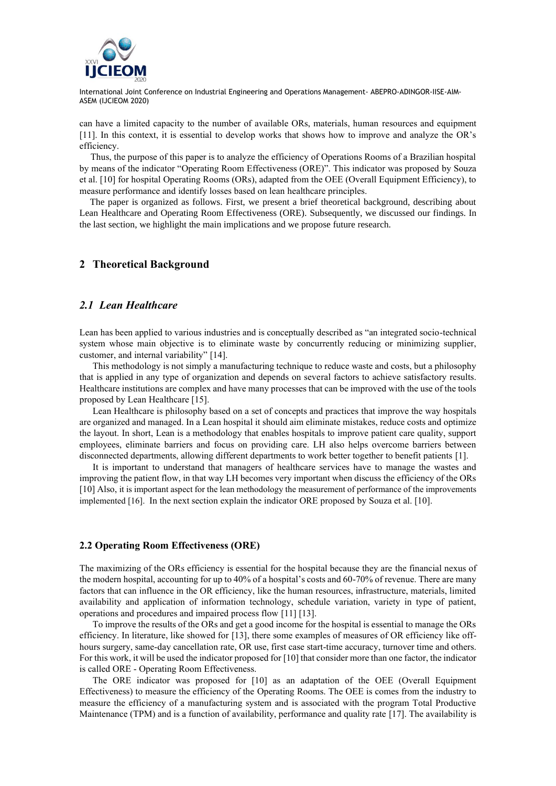

can have a limited capacity to the number of available ORs, materials, human resources and equipment [11]. In this context, it is essential to develop works that shows how to improve and analyze the OR's efficiency.

Thus, the purpose of this paper is to analyze the efficiency of Operations Rooms of a Brazilian hospital by means of the indicator "Operating Room Effectiveness (ORE)". This indicator was proposed by Souza et al. [10] for hospital Operating Rooms (ORs), adapted from the OEE (Overall Equipment Efficiency), to measure performance and identify losses based on lean healthcare principles.

The paper is organized as follows. First, we present a brief theoretical background, describing about Lean Healthcare and Operating Room Effectiveness (ORE). Subsequently, we discussed our findings. In the last section, we highlight the main implications and we propose future research.

## **2 Theoretical Background**

### *2.1 Lean Healthcare*

Lean has been applied to various industries and is conceptually described as "an integrated socio-technical system whose main objective is to eliminate waste by concurrently reducing or minimizing supplier, customer, and internal variability" [14].

This methodology is not simply a manufacturing technique to reduce waste and costs, but a philosophy that is applied in any type of organization and depends on several factors to achieve satisfactory results. Healthcare institutions are complex and have many processes that can be improved with the use of the tools proposed by Lean Healthcare [15].

Lean Healthcare is philosophy based on a set of concepts and practices that improve the way hospitals are organized and managed. In a Lean hospital it should aim eliminate mistakes, reduce costs and optimize the layout. In short, Lean is a methodology that enables hospitals to improve patient care quality, support employees, eliminate barriers and focus on providing care. LH also helps overcome barriers between disconnected departments, allowing different departments to work better together to benefit patients [1].

It is important to understand that managers of healthcare services have to manage the wastes and improving the patient flow, in that way LH becomes very important when discuss the efficiency of the ORs [10] Also, it is important aspect for the lean methodology the measurement of performance of the improvements implemented [16]. In the next section explain the indicator ORE proposed by Souza et al. [10].

#### **2.2 Operating Room Effectiveness (ORE)**

The maximizing of the ORs efficiency is essential for the hospital because they are the financial nexus of the modern hospital, accounting for up to 40% of a hospital's costs and 60-70% of revenue. There are many factors that can influence in the OR efficiency, like the human resources, infrastructure, materials, limited availability and application of information technology, schedule variation, variety in type of patient, operations and procedures and impaired process flow [11] [13].

To improve the results of the ORs and get a good income for the hospital is essential to manage the ORs efficiency. In literature, like showed for [13], there some examples of measures of OR efficiency like offhours surgery, same-day cancellation rate, OR use, first case start-time accuracy, turnover time and others. For this work, it will be used the indicator proposed for [10] that consider more than one factor, the indicator is called ORE - Operating Room Effectiveness.

The ORE indicator was proposed for [10] as an adaptation of the OEE (Overall Equipment Effectiveness) to measure the efficiency of the Operating Rooms. The OEE is comes from the industry to measure the efficiency of a manufacturing system and is associated with the program Total Productive Maintenance (TPM) and is a function of availability, performance and quality rate [17]. The availability is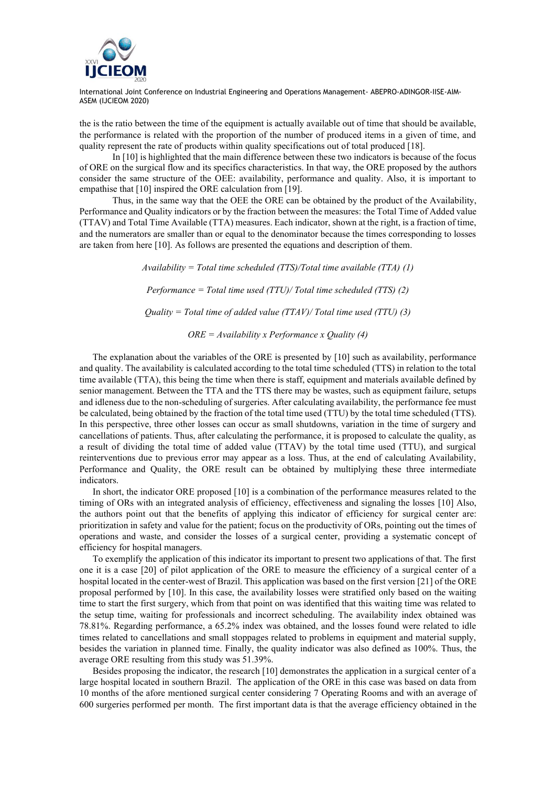

the is the ratio between the time of the equipment is actually available out of time that should be available, the performance is related with the proportion of the number of produced items in a given of time, and quality represent the rate of products within quality specifications out of total produced [18].

In [10] is highlighted that the main difference between these two indicators is because of the focus of ORE on the surgical flow and its specifics characteristics. In that way, the ORE proposed by the authors consider the same structure of the OEE: availability, performance and quality. Also, it is important to empathise that [10] inspired the ORE calculation from [19].

Thus, in the same way that the OEE the ORE can be obtained by the product of the Availability, Performance and Quality indicators or by the fraction between the measures: the Total Time of Added value (TTAV) and Total Time Available (TTA) measures. Each indicator, shown at the right, is a fraction of time, and the numerators are smaller than or equal to the denominator because the times corresponding to losses are taken from here [10]. As follows are presented the equations and description of them.

> *Availability = Total time scheduled (TTS)/Total time available (TTA) (1) Performance = Total time used (TTU)/ Total time scheduled (TTS) (2) Quality = Total time of added value (TTAV)/ Total time used (TTU) (3) ORE = Availability x Performance x Quality (4)*

The explanation about the variables of the ORE is presented by [10] such as availability, performance and quality. The availability is calculated according to the total time scheduled (TTS) in relation to the total time available (TTA), this being the time when there is staff, equipment and materials available defined by senior management. Between the TTA and the TTS there may be wastes, such as equipment failure, setups and idleness due to the non-scheduling of surgeries. After calculating availability, the performance fee must be calculated, being obtained by the fraction of the total time used (TTU) by the total time scheduled (TTS). In this perspective, three other losses can occur as small shutdowns, variation in the time of surgery and cancellations of patients. Thus, after calculating the performance, it is proposed to calculate the quality, as a result of dividing the total time of added value (TTAV) by the total time used (TTU), and surgical reinterventions due to previous error may appear as a loss. Thus, at the end of calculating Availability, Performance and Quality, the ORE result can be obtained by multiplying these three intermediate indicators.

In short, the indicator ORE proposed [10] is a combination of the performance measures related to the timing of ORs with an integrated analysis of efficiency, effectiveness and signaling the losses [10] Also, the authors point out that the benefits of applying this indicator of efficiency for surgical center are: prioritization in safety and value for the patient; focus on the productivity of ORs, pointing out the times of operations and waste, and consider the losses of a surgical center, providing a systematic concept of efficiency for hospital managers.

To exemplify the application of this indicator its important to present two applications of that. The first one it is a case [20] of pilot application of the ORE to measure the efficiency of a surgical center of a hospital located in the center-west of Brazil. This application was based on the first version [21] of the ORE proposal performed by [10]. In this case, the availability losses were stratified only based on the waiting time to start the first surgery, which from that point on was identified that this waiting time was related to the setup time, waiting for professionals and incorrect scheduling. The availability index obtained was 78.81%. Regarding performance, a 65.2% index was obtained, and the losses found were related to idle times related to cancellations and small stoppages related to problems in equipment and material supply, besides the variation in planned time. Finally, the quality indicator was also defined as 100%. Thus, the average ORE resulting from this study was 51.39%.

Besides proposing the indicator, the research [10] demonstrates the application in a surgical center of a large hospital located in southern Brazil. The application of the ORE in this case was based on data from 10 months of the afore mentioned surgical center considering 7 Operating Rooms and with an average of 600 surgeries performed per month. The first important data is that the average efficiency obtained in the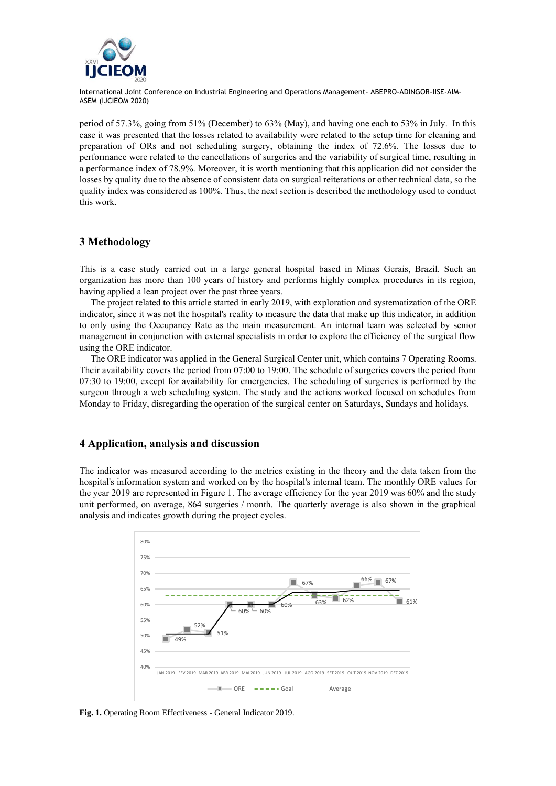

period of 57.3%, going from 51% (December) to 63% (May), and having one each to 53% in July. In this case it was presented that the losses related to availability were related to the setup time for cleaning and preparation of ORs and not scheduling surgery, obtaining the index of 72.6%. The losses due to performance were related to the cancellations of surgeries and the variability of surgical time, resulting in a performance index of 78.9%. Moreover, it is worth mentioning that this application did not consider the losses by quality due to the absence of consistent data on surgical reiterations or other technical data, so the quality index was considered as 100%. Thus, the next section is described the methodology used to conduct this work.

## **3 Methodology**

This is a case study carried out in a large general hospital based in Minas Gerais, Brazil. Such an organization has more than 100 years of history and performs highly complex procedures in its region, having applied a lean project over the past three years.

The project related to this article started in early 2019, with exploration and systematization of the ORE indicator, since it was not the hospital's reality to measure the data that make up this indicator, in addition to only using the Occupancy Rate as the main measurement. An internal team was selected by senior management in conjunction with external specialists in order to explore the efficiency of the surgical flow using the ORE indicator.

The ORE indicator was applied in the General Surgical Center unit, which contains 7 Operating Rooms. Their availability covers the period from 07:00 to 19:00. The schedule of surgeries covers the period from 07:30 to 19:00, except for availability for emergencies. The scheduling of surgeries is performed by the surgeon through a web scheduling system. The study and the actions worked focused on schedules from Monday to Friday, disregarding the operation of the surgical center on Saturdays, Sundays and holidays.

## **4 Application, analysis and discussion**

The indicator was measured according to the metrics existing in the theory and the data taken from the hospital's information system and worked on by the hospital's internal team. The monthly ORE values for the year 2019 are represented in Figure 1. The average efficiency for the year 2019 was 60% and the study unit performed, on average, 864 surgeries / month. The quarterly average is also shown in the graphical analysis and indicates growth during the project cycles.



**Fig. 1.** Operating Room Effectiveness - General Indicator 2019.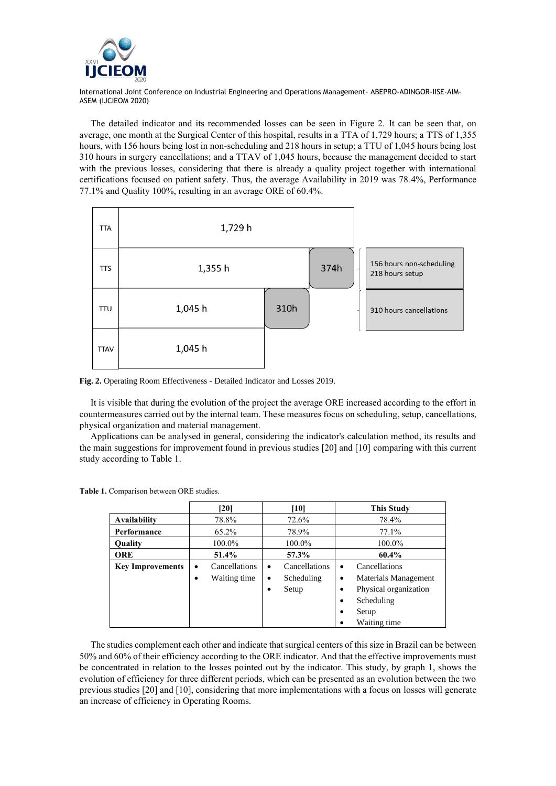

The detailed indicator and its recommended losses can be seen in Figure 2. It can be seen that, on average, one month at the Surgical Center of this hospital, results in a TTA of 1,729 hours; a TTS of 1,355 hours, with 156 hours being lost in non-scheduling and 218 hours in setup; a TTU of 1,045 hours being lost 310 hours in surgery cancellations; and a TTAV of 1,045 hours, because the management decided to start with the previous losses, considering that there is already a quality project together with international certifications focused on patient safety. Thus, the average Availability in 2019 was 78.4%, Performance 77.1% and Quality 100%, resulting in an average ORE of 60.4%.



**Fig. 2.** Operating Room Effectiveness - Detailed Indicator and Losses 2019.

It is visible that during the evolution of the project the average ORE increased according to the effort in countermeasures carried out by the internal team. These measures focus on scheduling, setup, cancellations, physical organization and material management.

Applications can be analysed in general, considering the indicator's calculation method, its results and the main suggestions for improvement found in previous studies [20] and [10] comparing with this current study according to Table 1.

|                         | [20]                       | [10]                       | <b>This Study</b>          |
|-------------------------|----------------------------|----------------------------|----------------------------|
| <b>Availability</b>     | 78.8%                      | 72.6%                      | 78.4%                      |
| Performance             | 65.2%                      | 78.9%                      | 77.1%                      |
| <b>Ouality</b>          | 100.0%                     | 100.0%                     | 100.0%                     |
| <b>ORE</b>              | 51.4%                      | 57.3%                      | 60.4%                      |
| <b>Key Improvements</b> | Cancellations<br>$\bullet$ | Cancellations<br>$\bullet$ | Cancellations<br>$\bullet$ |
|                         | Waiting time<br>٠          | Scheduling<br>$\bullet$    | Materials Management<br>٠  |
|                         |                            | Setup<br>$\bullet$         | Physical organization<br>٠ |
|                         |                            |                            | Scheduling<br>$\bullet$    |
|                         |                            |                            | Setup<br>٠                 |
|                         |                            |                            | Waiting time               |

**Table 1.** Comparison between ORE studies.

The studies complement each other and indicate that surgical centers of this size in Brazil can be between 50% and 60% of their efficiency according to the ORE indicator. And that the effective improvements must be concentrated in relation to the losses pointed out by the indicator. This study, by graph 1, shows the evolution of efficiency for three different periods, which can be presented as an evolution between the two previous studies [20] and [10], considering that more implementations with a focus on losses will generate an increase of efficiency in Operating Rooms.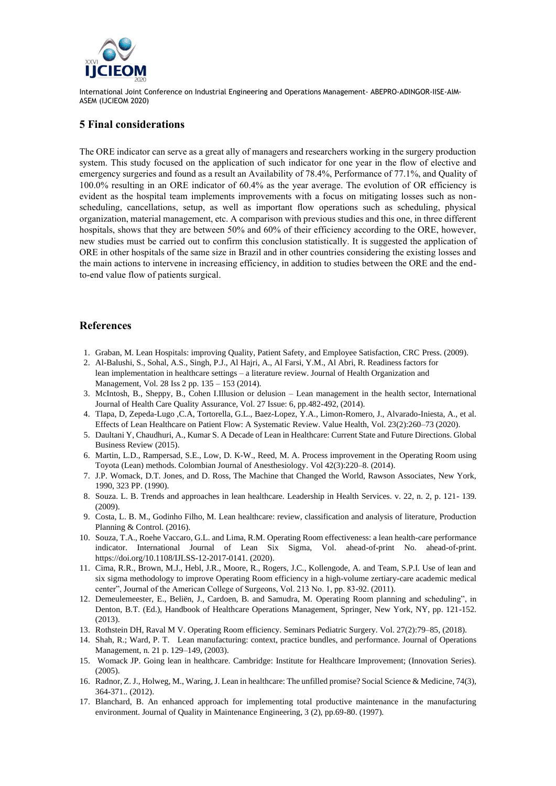

# **5 Final considerations**

The ORE indicator can serve as a great ally of managers and researchers working in the surgery production system. This study focused on the application of such indicator for one year in the flow of elective and emergency surgeries and found as a result an Availability of 78.4%, Performance of 77.1%, and Quality of 100.0% resulting in an ORE indicator of 60.4% as the year average. The evolution of OR efficiency is evident as the hospital team implements improvements with a focus on mitigating losses such as nonscheduling, cancellations, setup, as well as important flow operations such as scheduling, physical organization, material management, etc. A comparison with previous studies and this one, in three different hospitals, shows that they are between 50% and 60% of their efficiency according to the ORE, however, new studies must be carried out to confirm this conclusion statistically. It is suggested the application of ORE in other hospitals of the same size in Brazil and in other countries considering the existing losses and the main actions to intervene in increasing efficiency, in addition to studies between the ORE and the endto-end value flow of patients surgical.

# **References**

- 1. Graban, M. Lean Hospitals: improving Quality, Patient Safety, and Employee Satisfaction, CRC Press. (2009).
- 2. Al-Balushi, S., Sohal, A.S., Singh, P.J., Al Hajri, A., Al Farsi, Y.M., Al Abri, R. Readiness factors for lean implementation in healthcare settings – a literature review. Journal of Health Organization and Management, Vol. 28 Iss 2 pp. 135 – 153 (2014).
- 3. McIntosh, B., Sheppy, B., Cohen I.Illusion or delusion Lean management in the health sector, International Journal of Health Care Quality Assurance, Vol. 27 Issue: 6, pp.482-492, (2014).
- 4. Tlapa, D, Zepeda-Lugo ,C.A, Tortorella, G.L., Baez-Lopez, Y.A., Limon-Romero, J., Alvarado-Iniesta, A., et al. Effects of Lean Healthcare on Patient Flow: A Systematic Review. Value Health, Vol. 23(2):260–73 (2020).
- 5. Daultani Y, Chaudhuri, A., Kumar S. A Decade of Lean in Healthcare: Current State and Future Directions. Global Business Review (2015).
- 6. Martin, L.D., Rampersad, S.E., Low, D. K-W., Reed, M. A. Process improvement in the Operating Room using Toyota (Lean) methods. Colombian Journal of Anesthesiology. Vol 42(3):220–8. (2014).
- 7. J.P. Womack, D.T. Jones, and D. Ross, The Machine that Changed the World, Rawson Associates, New York, 1990, 323 PP. (1990).
- 8. Souza. L. B. Trends and approaches in lean healthcare. Leadership in Health Services. v. 22, n. 2, p. 121- 139. (2009).
- 9. Costa, L. B. M., Godinho Filho, M. Lean healthcare: review, classification and analysis of literature, Production Planning & Control. (2016).
- 10. Souza, T.A., Roehe Vaccaro, G.L. and Lima, R.M. Operating Room effectiveness: a lean health-care performance indicator. International Journal of Lean Six Sigma, Vol. ahead-of-print No. ahead-of-print. [https://doi.org/10.1108/IJLSS-12-2017-0141.](https://doi.org/10.1108/IJLSS-12-2017-0141) (2020).
- 11. Cima, R.R., Brown, M.J., Hebl, J.R., Moore, R., Rogers, J.C., Kollengode, A. and Team, S.P.I. Use of lean and six sigma methodology to improve Operating Room efficiency in a high-volume zertiary-care academic medical center", Journal of the American College of Surgeons, Vol. 213 No. 1, pp. 83-92. (2011).
- 12. Demeulemeester, E., Beliën, J., Cardoen, B. and Samudra, M. Operating Room planning and scheduling", in Denton, B.T. (Ed.), Handbook of Healthcare Operations Management, Springer, New York, NY, pp. 121-152. (2013).
- 13. Rothstein DH, Raval M V. Operating Room efficiency. Seminars Pediatric Surgery. Vol. 27(2):79–85, (2018).
- 14. Shah, R.; Ward, P. T. Lean manufacturing: context, practice bundles, and performance. Journal of Operations Management, n. 21 p. 129–149, (2003).
- 15. Womack JP. Going lean in healthcare. Cambridge: Institute for Healthcare Improvement; (Innovation Series). (2005).
- 16. Radnor, Z. J., Holweg, M., Waring, J. Lean in healthcare: The unfilled promise? Social Science & Medicine, 74(3), 364-371.. (2012).
- 17. Blanchard, B. An enhanced approach for implementing total productive maintenance in the manufacturing environment. Journal of Quality in Maintenance Engineering, 3 (2), pp.69-80. (1997).